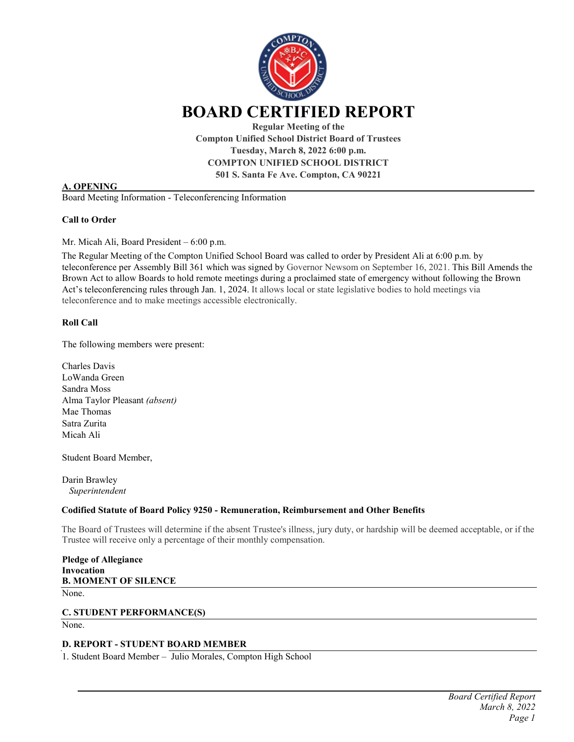

**Compton Unified School District Board of Trustees Tuesday, March 8, 2022 6:00 p.m. COMPTON UNIFIED SCHOOL DISTRICT 501 S. Santa Fe Ave. Compton, CA 90221**

### **A. OPENING**

Board Meeting Information - Teleconferencing Information

#### **Call to Order**

Mr. Micah Ali, Board President – 6:00 p.m.

The Regular Meeting of the Compton Unified School Board was called to order by President Ali at 6:00 p.m. by teleconference per Assembly Bill 361 which was signed by Governor Newsom on September 16, 2021. This Bill Amends the Brown Act to allow Boards to hold remote meetings during a proclaimed state of emergency without following the Brown Act's teleconferencing rules through Jan. 1, 2024. It allows local or state legislative bodies to hold meetings via teleconference and to make meetings accessible electronically.

### **Roll Call**

The following members were present:

Charles Davis LoWanda Green Sandra Moss Alma Taylor Pleasant *(absent)* Mae Thomas Satra Zurita Micah Ali

Student Board Member,

Darin Brawley *Superintendent* 

#### **Codified Statute of Board Policy 9250 - Remuneration, Reimbursement and Other Benefits**

The Board of Trustees will determine if the absent Trustee's illness, jury duty, or hardship will be deemed acceptable, or if the Trustee will receive only a percentage of their monthly compensation.

```
Pledge of Allegiance 
Invocation
B. MOMENT OF SILENCE
```
None.

#### **C. STUDENT PERFORMANCE(S)**

None.

### **D. REPORT - STUDENT BOARD MEMBER**

1. Student Board Member – Julio Morales, Compton High School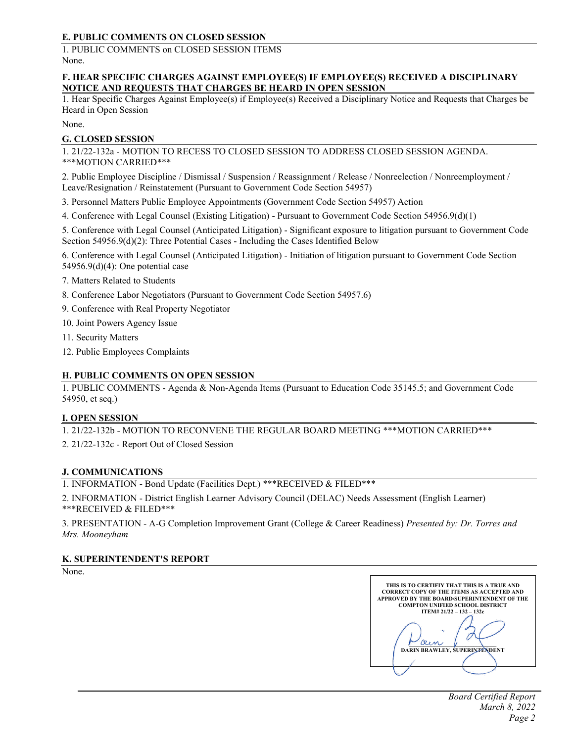# **E. PUBLIC COMMENTS ON CLOSED SESSION**

1. PUBLIC COMMENTS on CLOSED SESSION ITEMS None.

### **F. HEAR SPECIFIC CHARGES AGAINST EMPLOYEE(S) IF EMPLOYEE(S) RECEIVED A DISCIPLINARY NOTICE AND REQUESTS THAT CHARGES BE HEARD IN OPEN SESSION**

1. Hear Specific Charges Against Employee(s) if Employee(s) Received a Disciplinary Notice and Requests that Charges be Heard in Open Session

None.

# **G. CLOSED SESSION**

1. 21/22-132a - MOTION TO RECESS TO CLOSED SESSION TO ADDRESS CLOSED SESSION AGENDA. \*\*\*MOTION CARRIED\*\*\*

2. Public Employee Discipline / Dismissal / Suspension / Reassignment / Release / Nonreelection / Nonreemployment / Leave/Resignation / Reinstatement (Pursuant to Government Code Section 54957)

3. Personnel Matters Public Employee Appointments (Government Code Section 54957) Action

4. Conference with Legal Counsel (Existing Litigation) - Pursuant to Government Code Section 54956.9(d)(1)

5. Conference with Legal Counsel (Anticipated Litigation) - Significant exposure to litigation pursuant to Government Code Section 54956.9(d)(2): Three Potential Cases - Including the Cases Identified Below

6. Conference with Legal Counsel (Anticipated Litigation) - Initiation of litigation pursuant to Government Code Section 54956.9(d)(4): One potential case

7. Matters Related to Students

- 8. Conference Labor Negotiators (Pursuant to Government Code Section 54957.6)
- 9. Conference with Real Property Negotiator
- 10. Joint Powers Agency Issue

11. Security Matters

12. Public Employees Complaints

# **H. PUBLIC COMMENTS ON OPEN SESSION**

1. PUBLIC COMMENTS - Agenda & Non-Agenda Items (Pursuant to Education Code 35145.5; and Government Code 54950, et seq.)

# **I. OPEN SESSION**

1. 21/22-132b - MOTION TO RECONVENE THE REGULAR BOARD MEETING \*\*\*MOTION CARRIED\*\*\*

2. 21/22-132c - Report Out of Closed Session

# **J. COMMUNICATIONS**

1. INFORMATION - Bond Update (Facilities Dept.) \*\*\*RECEIVED & FILED\*\*\*

2. INFORMATION - District English Learner Advisory Council (DELAC) Needs Assessment (English Learner) \*\*\*RECEIVED & FILED\*\*\*

3. PRESENTATION - A-G Completion Improvement Grant (College & Career Readiness) *Presented by: Dr. Torres and Mrs. Mooneyham*

### **K. SUPERINTENDENT'S REPORT**

None.

**THIS IS TO CERTIFIY THAT THIS IS A TRUE AND CORRECT COPY OF THE ITEMS AS ACCEPTED AND APPROVED BY THE BOARD/SUPERINTENDENT OF THE COMPTON UNIFIED SCHOOL DISTRICT ITEM# 21/22 – 132 – 132c \_\_\_\_\_\_\_\_\_\_\_\_\_\_\_\_\_\_\_\_\_\_\_\_\_\_\_\_\_\_\_ DARIN BRAWLEY, SUPERINTENDENT**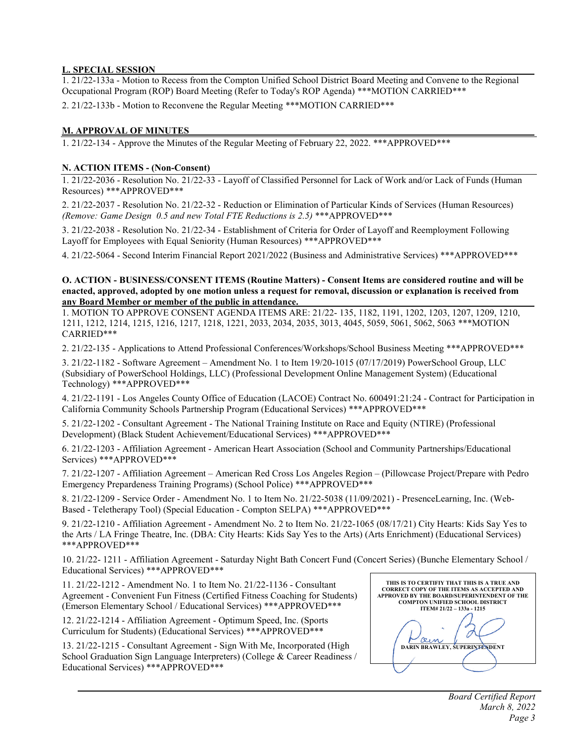### **L. SPECIAL SESSION**

1. 21/22-133a - Motion to Recess from the Compton Unified School District Board Meeting and Convene to the Regional Occupational Program (ROP) Board Meeting (Refer to Today's ROP Agenda) \*\*\*MOTION CARRIED\*\*\*

2. 21/22-133b - Motion to Reconvene the Regular Meeting \*\*\*MOTION CARRIED\*\*\*

### **M. APPROVAL OF MINUTES**

1. 21/22-134 - Approve the Minutes of the Regular Meeting of February 22, 2022. \*\*\*APPROVED\*\*\*

# **N. ACTION ITEMS - (Non-Consent)**

1. 21/22-2036 - Resolution No. 21/22-33 - Layoff of Classified Personnel for Lack of Work and/or Lack of Funds (Human Resources) \*\*\*APPROVED\*\*\*

2. 21/22-2037 - Resolution No. 21/22-32 - Reduction or Elimination of Particular Kinds of Services (Human Resources) *(Remove: Game Design 0.5 and new Total FTE Reductions is 2.5)* \*\*\*APPROVED\*\*\*

3. 21/22-2038 - Resolution No. 21/22-34 - Establishment of Criteria for Order of Layoff and Reemployment Following Layoff for Employees with Equal Seniority (Human Resources) \*\*\*APPROVED\*\*\*

4. 21/22-5064 - Second Interim Financial Report 2021/2022 (Business and Administrative Services) \*\*\*APPROVED\*\*\*

**O. ACTION - BUSINESS/CONSENT ITEMS (Routine Matters) - Consent Items are considered routine and will be** enacted, approved, adopted by one motion unless a request for removal, discussion or explanation is received from **any Board Member or member of the public in attendance.**

1. MOTION TO APPROVE CONSENT AGENDA ITEMS ARE: 21/22- 135, 1182, 1191, 1202, 1203, 1207, 1209, 1210, 1211, 1212, 1214, 1215, 1216, 1217, 1218, 1221, 2033, 2034, 2035, 3013, 4045, 5059, 5061, 5062, 5063 \*\*\*MOTION CARRIED\*\*\*

2. 21/22-135 - Applications to Attend Professional Conferences/Workshops/School Business Meeting \*\*\*APPROVED\*\*\*

3. 21/22-1182 - Software Agreement – Amendment No. 1 to Item 19/20-1015 (07/17/2019) PowerSchool Group, LLC (Subsidiary of PowerSchool Holdings, LLC) (Professional Development Online Management System) (Educational Technology) \*\*\*APPROVED\*\*\*

4. 21/22-1191 - Los Angeles County Office of Education (LACOE) Contract No. 600491:21:24 - Contract for Participation in California Community Schools Partnership Program (Educational Services) \*\*\*APPROVED\*\*\*

5. 21/22-1202 - Consultant Agreement - The National Training Institute on Race and Equity (NTIRE) (Professional Development) (Black Student Achievement/Educational Services) \*\*\*APPROVED\*\*\*

6. 21/22-1203 - Affiliation Agreement - American Heart Association (School and Community Partnerships/Educational Services) \*\*\*APPROVED\*\*\*

7. 21/22-1207 - Affiliation Agreement – American Red Cross Los Angeles Region – (Pillowcase Project/Prepare with Pedro Emergency Prepardeness Training Programs) (School Police) \*\*\*APPROVED\*\*\*

8. 21/22-1209 - Service Order - Amendment No. 1 to Item No. 21/22-5038 (11/09/2021) - PresenceLearning, Inc. (Web-Based - Teletherapy Tool) (Special Education - Compton SELPA) \*\*\*APPROVED\*\*\*

9. 21/22-1210 - Affiliation Agreement - Amendment No. 2 to Item No. 21/22-1065 (08/17/21) City Hearts: Kids Say Yes to the Arts / LA Fringe Theatre, Inc. (DBA: City Hearts: Kids Say Yes to the Arts) (Arts Enrichment) (Educational Services) \*\*\*APPROVED\*\*\*

10. 21/22- 1211 - Affiliation Agreement - Saturday Night Bath Concert Fund (Concert Series) (Bunche Elementary School / Educational Services) \*\*\*APPROVED\*\*\*

11. 21/22-1212 - Amendment No. 1 to Item No. 21/22-1136 - Consultant Agreement - Convenient Fun Fitness (Certified Fitness Coaching for Students) (Emerson Elementary School / Educational Services) \*\*\*APPROVED\*\*\*

12. 21/22-1214 - Affiliation Agreement - Optimum Speed, Inc. (Sports Curriculum for Students) (Educational Services) \*\*\*APPROVED\*\*\*

13. 21/22-1215 - Consultant Agreement - Sign With Me, Incorporated (High School Graduation Sign Language Interpreters) (College & Career Readiness / Educational Services) \*\*\*APPROVED\*\*\*

| THIS IS TO CERTIFIV THAT THIS IS A TRUE AND<br><b>CORRECT COPY OF THE ITEMS AS ACCEPTED AND</b><br>APPROVED BY THE BOARD/SUPERINTENDENT OF THE<br><b>COMPTON UNIFIED SCHOOL DISTRICT</b> |
|------------------------------------------------------------------------------------------------------------------------------------------------------------------------------------------|
| ITEM# 21/22 - 133a - 1215                                                                                                                                                                |
| <b>DARIN BRAWLEY, SUPERINTENDENT</b>                                                                                                                                                     |
|                                                                                                                                                                                          |
|                                                                                                                                                                                          |
|                                                                                                                                                                                          |